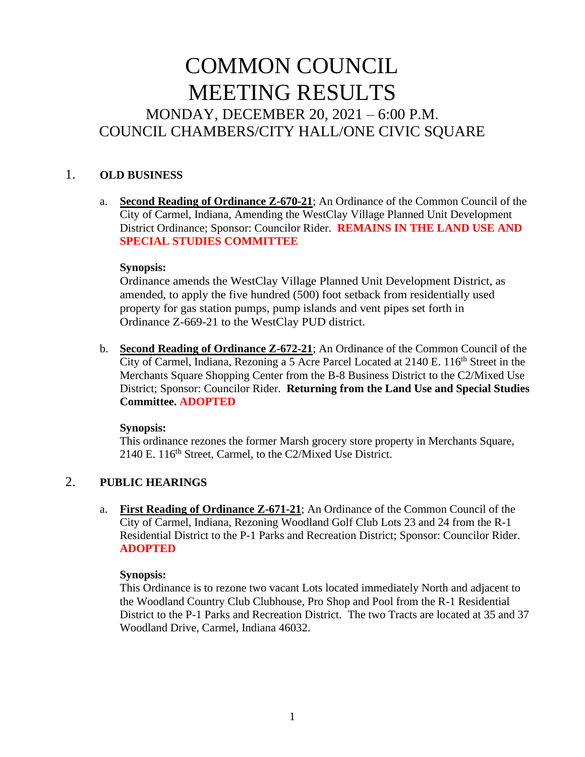# COMMON COUNCIL MEETING RESULTS MONDAY, DECEMBER 20, 2021 – 6:00 P.M. COUNCIL CHAMBERS/CITY HALL/ONE CIVIC SQUARE

#### 1. **OLD BUSINESS**

a. **Second Reading of Ordinance Z-670-21**; An Ordinance of the Common Council of the City of Carmel, Indiana, Amending the WestClay Village Planned Unit Development District Ordinance; Sponsor: Councilor Rider. **REMAINS IN THE LAND USE AND SPECIAL STUDIES COMMITTEE**

#### **Synopsis:**

Ordinance amends the WestClay Village Planned Unit Development District, as amended, to apply the five hundred (500) foot setback from residentially used property for gas station pumps, pump islands and vent pipes set forth in Ordinance Z-669-21 to the WestClay PUD district.

b. **Second Reading of Ordinance Z-672-21**; An Ordinance of the Common Council of the City of Carmel, Indiana, Rezoning a 5 Acre Parcel Located at  $2140 \text{ E}$ .  $116^{\text{th}}$  Street in the Merchants Square Shopping Center from the B-8 Business District to the C2/Mixed Use District; Sponsor: Councilor Rider. **Returning from the Land Use and Special Studies Committee. ADOPTED**

#### **Synopsis:**

This ordinance rezones the former Marsh grocery store property in Merchants Square, 2140 E. 116th Street, Carmel, to the C2/Mixed Use District.

#### 2. **PUBLIC HEARINGS**

a. **First Reading of Ordinance Z-671-21**; An Ordinance of the Common Council of the City of Carmel, Indiana, Rezoning Woodland Golf Club Lots 23 and 24 from the R-1 Residential District to the P-1 Parks and Recreation District; Sponsor: Councilor Rider. **ADOPTED**

#### **Synopsis:**

This Ordinance is to rezone two vacant Lots located immediately North and adjacent to the Woodland Country Club Clubhouse, Pro Shop and Pool from the R-1 Residential District to the P-1 Parks and Recreation District. The two Tracts are located at 35 and 37 Woodland Drive, Carmel, Indiana 46032.